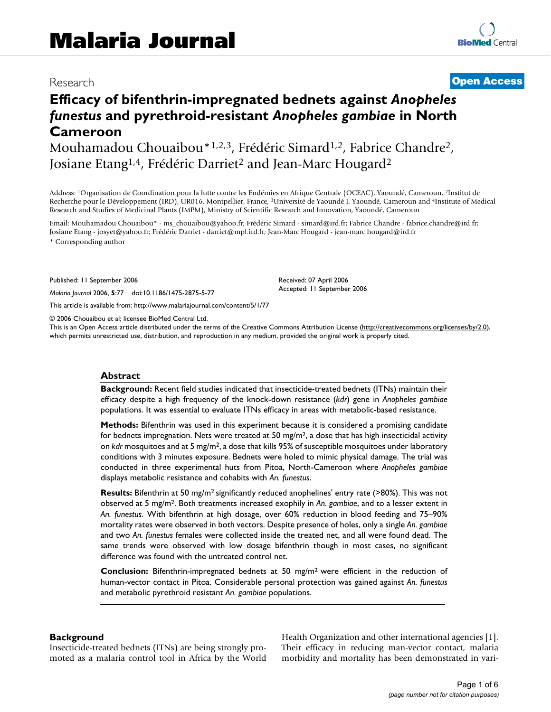## Research **[Open Access](http://www.biomedcentral.com/info/about/charter/)**

# **Efficacy of bifenthrin-impregnated bednets against** *Anopheles funestus* **and pyrethroid-resistant** *Anopheles gambiae* **in North Cameroon**

Mouhamadou Chouaibou\*1,2,3, Frédéric Simard1,2, Fabrice Chandre2, Josiane Etang<sup>1,4</sup>, Frédéric Darriet<sup>2</sup> and Jean-Marc Hougard<sup>2</sup>

Address: 1Organisation de Coordination pour la lutte contre les Endémies en Afrique Centrale (OCEAC), Yaoundé, Cameroun, 2Institut de Recherche pour le Développement (IRD), UR016, Montpellier, France, 3Université de Yaoundé I, Yaoundé, Cameroun and 4Institute of Medical Research and Studies of Medicinal Plants (IMPM), Ministry of Scientific Research and Innovation, Yaoundé, Cameroun

Email: Mouhamadou Chouaibou\* - ms\_chouaibou@yahoo.fr; Frédéric Simard - simard@ird.fr; Fabrice Chandre - fabrice.chandre@ird.fr; Josiane Etang - josyet@yahoo.fr; Frédéric Darriet - darriet@mpl.ird.fr; Jean-Marc Hougard - jean-marc.hougard@ird.fr \* Corresponding author

Published: 11 September 2006

*Malaria Journal* 2006, **5**:77 doi:10.1186/1475-2875-5-77

[This article is available from: http://www.malariajournal.com/content/5/1/77](http://www.malariajournal.com/content/5/1/77)

© 2006 Chouaibou et al; licensee BioMed Central Ltd.

This is an Open Access article distributed under the terms of the Creative Commons Attribution License [\(http://creativecommons.org/licenses/by/2.0\)](http://creativecommons.org/licenses/by/2.0), which permits unrestricted use, distribution, and reproduction in any medium, provided the original work is properly cited.

Received: 07 April 2006 Accepted: 11 September 2006

#### **Abstract**

**Background:** Recent field studies indicated that insecticide-treated bednets (ITNs) maintain their efficacy despite a high frequency of the knock-down resistance (*kdr*) gene in *Anopheles gambiae* populations. It was essential to evaluate ITNs efficacy in areas with metabolic-based resistance.

**Methods:** Bifenthrin was used in this experiment because it is considered a promising candidate for bednets impregnation. Nets were treated at 50 mg/m<sup>2</sup>, a dose that has high insecticidal activity on *kdr* mosquitoes and at 5 mg/m2, a dose that kills 95% of susceptible mosquitoes under laboratory conditions with 3 minutes exposure. Bednets were holed to mimic physical damage. The trial was conducted in three experimental huts from Pitoa, North-Cameroon where *Anopheles gambiae* displays metabolic resistance and cohabits with *An. funestus*.

**Results:** Bifenthrin at 50 mg/m2 significantly reduced anophelines' entry rate (>80%). This was not observed at 5 mg/m2. Both treatments increased exophily in *An. gambiae*, and to a lesser extent in *An. funestus*. With bifenthrin at high dosage, over 60% reduction in blood feeding and 75–90% mortality rates were observed in both vectors. Despite presence of holes, only a single *An. gambiae* and two *An. funestus* females were collected inside the treated net, and all were found dead. The same trends were observed with low dosage bifenthrin though in most cases, no significant difference was found with the untreated control net.

**Conclusion:** Bifenthrin-impregnated bednets at 50 mg/m2 were efficient in the reduction of human-vector contact in Pitoa. Considerable personal protection was gained against *An. funestus* and metabolic pyrethroid resistant *An. gambiae* populations.

#### **Background**

Insecticide-treated bednets (ITNs) are being strongly promoted as a malaria control tool in Africa by the World Health Organization and other international agencies [1]. Their efficacy in reducing man-vector contact, malaria morbidity and mortality has been demonstrated in vari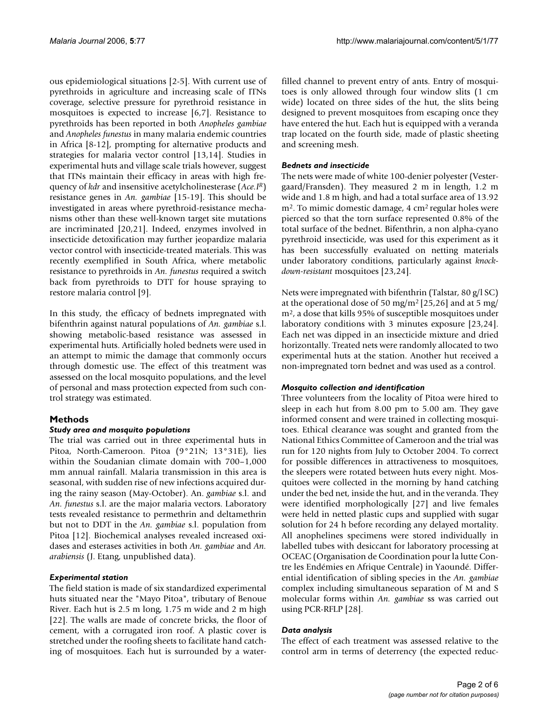ous epidemiological situations [2-5]. With current use of pyrethroids in agriculture and increasing scale of ITNs coverage, selective pressure for pyrethroid resistance in mosquitoes is expected to increase [6,7]. Resistance to pyrethroids has been reported in both *Anopheles gambiae* and *Anopheles funestus* in many malaria endemic countries in Africa [8-12], prompting for alternative products and strategies for malaria vector control [13,14]. Studies in experimental huts and village scale trials however, suggest that ITNs maintain their efficacy in areas with high frequency of *kdr* and insensitive acetylcholinesterase (*Ace.IR*) resistance genes in *An. gambiae* [15-19]. This should be investigated in areas where pyrethroid-resistance mechanisms other than these well-known target site mutations are incriminated [20,21]. Indeed, enzymes involved in insecticide detoxification may further jeopardize malaria vector control with insecticide-treated materials. This was recently exemplified in South Africa, where metabolic resistance to pyrethroids in *An. funestus* required a switch back from pyrethroids to DTT for house spraying to restore malaria control [9].

In this study, the efficacy of bednets impregnated with bifenthrin against natural populations of *An. gambiae* s.l. showing metabolic-based resistance was assessed in experimental huts. Artificially holed bednets were used in an attempt to mimic the damage that commonly occurs through domestic use. The effect of this treatment was assessed on the local mosquito populations, and the level of personal and mass protection expected from such control strategy was estimated.

### **Methods**

#### *Study area and mosquito populations*

The trial was carried out in three experimental huts in Pitoa, North-Cameroon. Pitoa (9°21N; 13°31E), lies within the Soudanian climate domain with 700–1,000 mm annual rainfall. Malaria transmission in this area is seasonal, with sudden rise of new infections acquired during the rainy season (May-October). An. *gambiae* s.l. and *An. funestus* s.l. are the major malaria vectors. Laboratory tests revealed resistance to permethrin and deltamethrin but not to DDT in the *An. gambiae* s.l. population from Pitoa [12]. Biochemical analyses revealed increased oxidases and esterases activities in both *An. gambiae* and *An. arabiensis* (J. Etang, unpublished data).

#### *Experimental station*

The field station is made of six standardized experimental huts situated near the "Mayo Pitoa", tributary of Benoue River. Each hut is 2.5 m long, 1.75 m wide and 2 m high [22]. The walls are made of concrete bricks, the floor of cement, with a corrugated iron roof. A plastic cover is stretched under the roofing sheets to facilitate hand catching of mosquitoes. Each hut is surrounded by a waterfilled channel to prevent entry of ants. Entry of mosquitoes is only allowed through four window slits (1 cm wide) located on three sides of the hut, the slits being designed to prevent mosquitoes from escaping once they have entered the hut. Each hut is equipped with a veranda trap located on the fourth side, made of plastic sheeting and screening mesh.

#### *Bednets and insecticide*

The nets were made of white 100-denier polyester (Vestergaard/Fransden). They measured 2 m in length, 1.2 m wide and 1.8 m high, and had a total surface area of 13.92 m2. To mimic domestic damage, 4 cm2 regular holes were pierced so that the torn surface represented 0.8% of the total surface of the bednet. Bifenthrin, a non alpha-cyano pyrethroid insecticide, was used for this experiment as it has been successfully evaluated on netting materials under laboratory conditions, particularly against *knockdown-resistant* mosquitoes [23,24].

Nets were impregnated with bifenthrin (Talstar, 80 g/l SC) at the operational dose of 50 mg/m<sup>2</sup> [25,26] and at 5 mg/ m2, a dose that kills 95% of susceptible mosquitoes under laboratory conditions with 3 minutes exposure [23,24]. Each net was dipped in an insecticide mixture and dried horizontally. Treated nets were randomly allocated to two experimental huts at the station. Another hut received a non-impregnated torn bednet and was used as a control.

#### *Mosquito collection and identification*

Three volunteers from the locality of Pitoa were hired to sleep in each hut from 8.00 pm to 5.00 am. They gave informed consent and were trained in collecting mosquitoes. Ethical clearance was sought and granted from the National Ethics Committee of Cameroon and the trial was run for 120 nights from July to October 2004. To correct for possible differences in attractiveness to mosquitoes, the sleepers were rotated between huts every night. Mosquitoes were collected in the morning by hand catching under the bed net, inside the hut, and in the veranda. They were identified morphologically [27] and live females were held in netted plastic cups and supplied with sugar solution for 24 h before recording any delayed mortality. All anophelines specimens were stored individually in labelled tubes with desiccant for laboratory processing at OCEAC (Organisation de Coordination pour la lutte Contre les Endémies en Afrique Centrale) in Yaoundé. Differential identification of sibling species in the *An. gambiae* complex including simultaneous separation of M and S molecular forms within *An. gambiae* ss was carried out using PCR-RFLP [28].

#### *Data analysis*

The effect of each treatment was assessed relative to the control arm in terms of deterrency (the expected reduc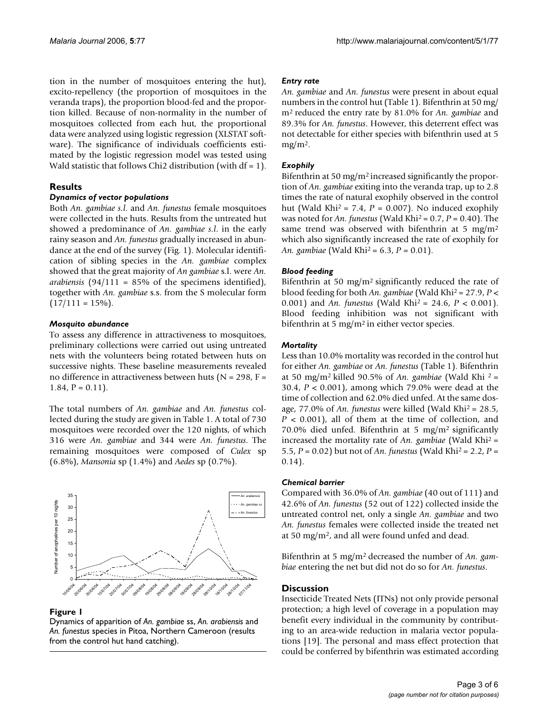tion in the number of mosquitoes entering the hut), excito-repellency (the proportion of mosquitoes in the veranda traps), the proportion blood-fed and the proportion killed. Because of non-normality in the number of mosquitoes collected from each hut, the proportional data were analyzed using logistic regression (XLSTAT software). The significance of individuals coefficients estimated by the logistic regression model was tested using Wald statistic that follows Chi2 distribution (with  $df = 1$ ).

#### **Results**

#### *Dynamics of vector populations*

Both *An. gambiae s.l*. and *An. funestus* female mosquitoes were collected in the huts. Results from the untreated hut showed a predominance of *An. gambiae s.l*. in the early rainy season and *An. funestus* gradually increased in abundance at the end of the survey (Fig. 1). Molecular identification of sibling species in the *An. gambiae* complex showed that the great majority of *An gambiae* s.l. were *An. arabiensis* (94/111 = 85% of the specimens identified), together with *An. gambiae* s.s. from the S molecular form  $(17/111 = 15\%)$ .

#### *Mosquito abundance*

To assess any difference in attractiveness to mosquitoes, preliminary collections were carried out using untreated nets with the volunteers being rotated between huts on successive nights. These baseline measurements revealed no difference in attractiveness between huts ( $N = 298$ ,  $F =$ 1.84,  $P = 0.11$ .

The total numbers of *An. gambiae* and *An. funestus* collected during the study are given in Table 1. A total of 730 mosquitoes were recorded over the 120 nights, of which 316 were *An. gambiae* and 344 were *An. funestus*. The remaining mosquitoes were composed of *Culex* sp (6.8%), *Mansonia* sp (1.4%) and *Aedes* sp (0.7%).



#### **Figure 1**

Dynamics of apparition of *An. gambiae* ss, *An. arabiensis* and *An. funestus* species in Pitoa, Northern Cameroon (results from the control hut hand catching).

#### *Entry rate*

*An. gambiae* and *An. funestus* were present in about equal numbers in the control hut (Table 1). Bifenthrin at 50 mg/ m2 reduced the entry rate by 81.0% for *An. gambiae* and 89.3% for *An. funestus*. However, this deterrent effect was not detectable for either species with bifenthrin used at 5  $mg/m<sup>2</sup>$ .

#### *Exophily*

Bifenthrin at 50 mg/m2 increased significantly the proportion of *An. gambiae* exiting into the veranda trap, up to 2.8 times the rate of natural exophily observed in the control hut (Wald Khi<sup>2</sup> = 7.4,  $P = 0.007$ ). No induced exophily was noted for *An. funestus* (Wald Khi2 = 0.7, *P* = 0.40). The same trend was observed with bifenthrin at 5 mg/m<sup>2</sup> which also significantly increased the rate of exophily for *An. gambiae* (Wald Khi2 = 6.3, *P* = 0.01).

#### *Blood feeding*

Bifenthrin at 50 mg/m2 significantly reduced the rate of blood feeding for both *An. gambiae* (Wald Khi2 = 27.9, *P* < 0.001) and *An. funestus* (Wald Khi2 = 24.6, *P* < 0.001). Blood feeding inhibition was not significant with bifenthrin at 5 mg/m<sup>2</sup> in either vector species.

#### *Mortality*

Less than 10.0% mortality was recorded in the control hut for either *An. gambiae* or *An. funestus* (Table 1). Bifenthrin at 50 mg/m2 killed 90.5% of *An. gambiae* (Wald Khi 2 = 30.4, *P* < 0.001), among which 79.0% were dead at the time of collection and 62.0% died unfed. At the same dosage, 77.0% of *An. funestus* were killed (Wald Khi2 = 28.5, *P* < 0.001), all of them at the time of collection, and 70.0% died unfed. Bifenthrin at 5 mg/m2 significantly increased the mortality rate of *An. gambiae* (Wald Khi2 = 5.5, *P* = 0.02) but not of *An. funestus* (Wald Khi2 = 2.2, *P* = 0.14).

#### *Chemical barrier*

Compared with 36.0% of *An. gambiae* (40 out of 111) and 42.6% of *An. funestus* (52 out of 122) collected inside the untreated control net, only a single *An. gambiae* and two *An. funestus* females were collected inside the treated net at 50 mg/m2, and all were found unfed and dead.

Bifenthrin at 5 mg/m2 decreased the number of *An. gambiae* entering the net but did not do so for *An. funestus*.

#### **Discussion**

Insecticide Treated Nets (ITNs) not only provide personal protection; a high level of coverage in a population may benefit every individual in the community by contributing to an area-wide reduction in malaria vector populations [19]. The personal and mass effect protection that could be conferred by bifenthrin was estimated according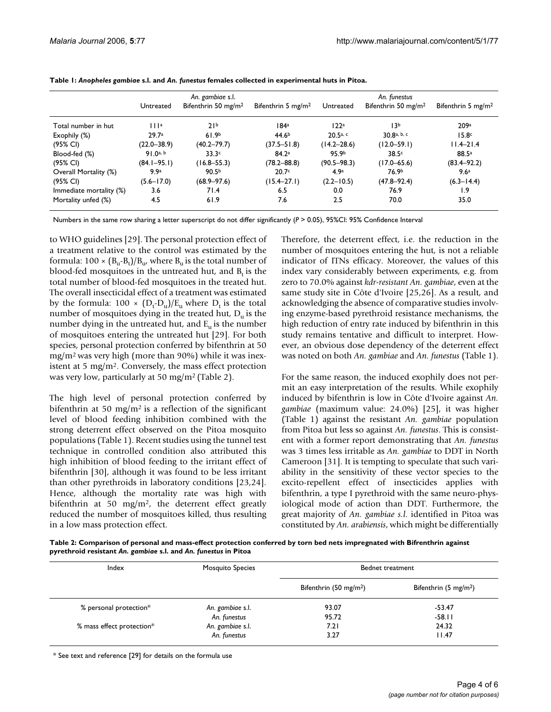|                         | An. gambiae s.l. |                                 |                                | An. funestus     |                                 |                                |
|-------------------------|------------------|---------------------------------|--------------------------------|------------------|---------------------------------|--------------------------------|
|                         | Untreated        | Bifenthrin 50 mg/m <sup>2</sup> | Bifenthrin 5 mg/m <sup>2</sup> | Untreated        | Bifenthrin 50 mg/m <sup>2</sup> | Bifenthrin 5 mg/m <sup>2</sup> |
| Total number in hut     | 111a             | 21 <sup>b</sup>                 | 184ª                           | 122a             | 13 <sub>b</sub>                 | 209a                           |
| Exophily (%)            | 29.7a            | 61.9 <sup>b</sup>               | 44.6 <sup>b</sup>              | $20.5a$ , c      | 30.8 <sup>a, b, c</sup>         | 15.8 <sub>c</sub>              |
| (95% CI)                | $(22.0 - 38.9)$  | $(40.2 - 79.7)$                 | $(37.5 - 51.8)$                | $(14.2 - 28.6)$  | $(12.0 - 59.1)$                 | $11.4 - 21.4$                  |
| Blood-fed (%)           | 91.0a, b         | 33.3c                           | 84.2 <sup>a</sup>              | 95.9b            | 38.5c                           | 88.5a                          |
| (95% CI)                | $(84.1 - 95.1)$  | $(16.8 - 55.3)$                 | $(78.2 - 88.8)$                | $(90.5 - 98.3)$  | $(17.0 - 65.6)$                 | $(83.4 - 92.2)$                |
| Overall Mortality (%)   | 9.9 <sup>a</sup> | 90.5 <sup>b</sup>               | 20.7c                          | 4.9 <sup>a</sup> | 76.9 <sup>b</sup>               | 9.6 <sup>a</sup>               |
| (95% CI)                | $(5.6 - 17.0)$   | $(68.9 - 97.6)$                 | $(15.4 - 27.1)$                | $(2.2 - 10.5)$   | $(47.8 - 92.4)$                 | $(6.3 - 14.4)$                 |
| Immediate mortality (%) | 3.6              | 71.4                            | 6.5                            | 0.0              | 76.9                            | 1.9                            |
| Mortality unfed (%)     | 4.5              | 61.9                            | 7.6                            | 2.5              | 70.0                            | 35.0                           |

**Table 1:** *Anopheles gambiae* **s.l. and** *An. funestus* **females collected in experimental huts in Pitoa.**

Numbers in the same row sharing a letter superscript do not differ significantly (*P* > 0.05), 95%CI: 95% Confidence Interval

to WHO guidelines [29]. The personal protection effect of a treatment relative to the control was estimated by the formula: 100 ×  $(B_u$ - $B_t)/B_u$ , where  $B_u$  is the total number of blood-fed mosquitoes in the untreated hut, and  $B_t$  is the total number of blood-fed mosquitoes in the treated hut. The overall insecticidal effect of a treatment was estimated by the formula:  $100 \times (D_t - D_u)/E_u$  where  $D_t$  is the total number of mosquitoes dying in the treated hut,  $D_{\mu}$  is the number dying in the untreated hut, and  $E_{\mu}$  is the number of mosquitoes entering the untreated hut [29]. For both species, personal protection conferred by bifenthrin at 50 mg/m2 was very high (more than 90%) while it was inexistent at 5 mg/m2. Conversely, the mass effect protection was very low, particularly at 50 mg/m2 (Table 2).

The high level of personal protection conferred by bifenthrin at 50 mg/m<sup>2</sup> is a reflection of the significant level of blood feeding inhibition combined with the strong deterrent effect observed on the Pitoa mosquito populations (Table 1). Recent studies using the tunnel test technique in controlled condition also attributed this high inhibition of blood feeding to the irritant effect of bifenthrin [30], although it was found to be less irritant than other pyrethroids in laboratory conditions [23,24]. Hence, although the mortality rate was high with bifenthrin at 50 mg/m<sup>2</sup>, the deterrent effect greatly reduced the number of mosquitoes killed, thus resulting in a low mass protection effect.

Therefore, the deterrent effect, i.e. the reduction in the number of mosquitoes entering the hut, is not a reliable indicator of ITNs efficacy. Moreover, the values of this index vary considerably between experiments, e.g. from zero to 70.0% against *kdr-resistant An. gambiae*, even at the same study site in Côte d'Ivoire [25,26]. As a result, and acknowledging the absence of comparative studies involving enzyme-based pyrethroid resistance mechanisms, the high reduction of entry rate induced by bifenthrin in this study remains tentative and difficult to interpret. However, an obvious dose dependency of the deterrent effect was noted on both *An. gambiae* and *An. funestus* (Table 1).

For the same reason, the induced exophily does not permit an easy interpretation of the results. While exophily induced by bifenthrin is low in Côte d'Ivoire against *An. gambiae* (maximum value: 24.0%) [25], it was higher (Table 1) against the resistant *An. gambiae* population from Pitoa but less so against *An. funestus*. This is consistent with a former report demonstrating that *An. funestus* was 3 times less irritable as *An. gambiae* to DDT in North Cameroon [31]. It is tempting to speculate that such variability in the sensitivity of these vector species to the excito-repellent effect of insecticides applies with bifenthrin, a type I pyrethroid with the same neuro-physiological mode of action than DDT. Furthermore, the great majority of *An. gambiae s.l*. identified in Pitoa was constituted by *An. arabiensis*, which might be differentially

**Table 2: Comparison of personal and mass-effect protection conferred by torn bed nets impregnated with Bifrenthrin against pyrethroid resistant** *An. gambiae* **s.l. and** *An. funestus* **in Pitoa**

| Index                     | <b>Mosquito Species</b> | Bednet treatment                 |                                 |  |
|---------------------------|-------------------------|----------------------------------|---------------------------------|--|
|                           |                         | Bifenthrin $(50 \text{ mg/m}^2)$ | Bifenthrin $(5 \text{ mg/m}^2)$ |  |
| % personal protection*    | An. gambiae s.l.        | 93.07                            | $-53.47$                        |  |
|                           | An. funestus            | 95.72                            | $-58.11$                        |  |
| % mass effect protection* | An. gambiae s.l.        | 7.21                             | 24.32                           |  |
|                           | An. funestus            | 3.27                             | 11.47                           |  |

\* See text and reference [29] for details on the formula use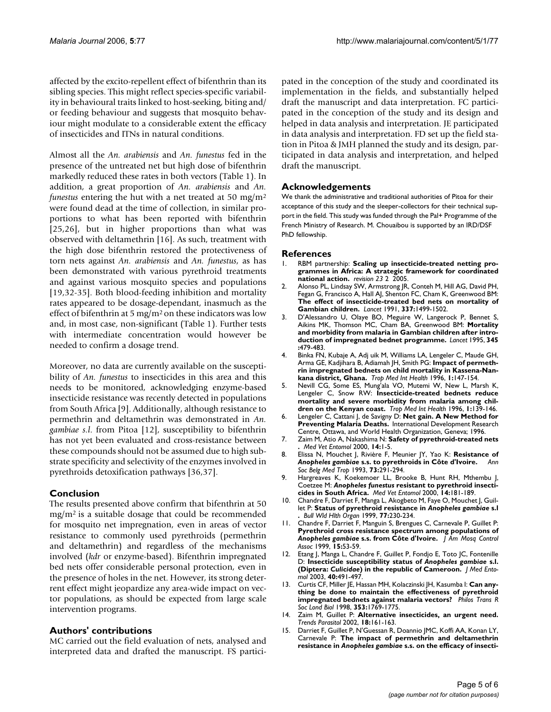affected by the excito-repellent effect of bifenthrin than its sibling species. This might reflect species-specific variability in behavioural traits linked to host-seeking, biting and/ or feeding behaviour and suggests that mosquito behaviour might modulate to a considerable extent the efficacy of insecticides and ITNs in natural conditions.

Almost all the *An. arabiensis* and *An. funestus* fed in the presence of the untreated net but high dose of bifenthrin markedly reduced these rates in both vectors (Table 1). In addition, a great proportion of *An. arabiensis* and *An. funestus* entering the hut with a net treated at 50 mg/m<sup>2</sup> were found dead at the time of collection, in similar proportions to what has been reported with bifenthrin [25,26], but in higher proportions than what was observed with deltamethrin [16]. As such, treatment with the high dose bifenthrin restored the protectiveness of torn nets against *An. arabiensis* and *An. funestus*, as has been demonstrated with various pyrethroid treatments and against various mosquito species and populations [19,32-35]. Both blood-feeding inhibition and mortality rates appeared to be dosage-dependant, inasmuch as the effect of bifenthrin at 5 mg/m<sup>2</sup> on these indicators was low and, in most case, non-significant (Table 1). Further tests with intermediate concentration would however be needed to confirm a dosage trend.

Moreover, no data are currently available on the susceptibility of *An. funestus* to insecticides in this area and this needs to be monitored, acknowledging enzyme-based insecticide resistance was recently detected in populations from South Africa [9]. Additionally, although resistance to permethrin and deltamethrin was demonstrated in *An. gambiae s.l*. from Pitoa [12], susceptibility to bifenthrin has not yet been evaluated and cross-resistance between these compounds should not be assumed due to high substrate specificity and selectivity of the enzymes involved in pyrethroids detoxification pathways [36,37].

#### **Conclusion**

The results presented above confirm that bifenthrin at 50 mg/m2 is a suitable dosage that could be recommended for mosquito net impregnation, even in areas of vector resistance to commonly used pyrethroids (permethrin and deltamethrin) and regardless of the mechanisms involved (*kdr* or enzyme-based). Bifenthrin impregnated bed nets offer considerable personal protection, even in the presence of holes in the net. However, its strong deterrent effect might jeopardize any area-wide impact on vector populations, as should be expected from large scale intervention programs.

#### **Authors' contributions**

MC carried out the field evaluation of nets, analysed and interpreted data and drafted the manuscript. FS participated in the conception of the study and coordinated its implementation in the fields, and substantially helped draft the manuscript and data interpretation. FC participated in the conception of the study and its design and helped in data analysis and interpretation. JE participated in data analysis and interpretation. FD set up the field station in Pitoa & JMH planned the study and its design, participated in data analysis and interpretation, and helped draft the manuscript.

#### **Acknowledgements**

We thank the administrative and traditional authorities of Pitoa for their acceptance of this study and the sleeper-collectors for their technical support in the field. This study was funded through the Pal+ Programme of the French Ministry of Research. M. Chouaibou is supported by an IRD/DSF PhD fellowship.

#### **References**

- RBM partnership: Scaling up insecticide-treated netting pro**grammes in Africa: A strategic framework for coordinated national action.** *revision 23* 2 2005.
- 2. Alonso PL, Lindsay SW, Armstrong JR, Conteh M, Hill AG, David PH, Fegan G, Francisco A, Hall AJ, Shenton FC, Cham K, Greenwood BM: **[The effect of insecticide-treated bed nets on mortality of](http://www.ncbi.nlm.nih.gov/entrez/query.fcgi?cmd=Retrieve&db=PubMed&dopt=Abstract&list_uids=1675368) [Gambian children.](http://www.ncbi.nlm.nih.gov/entrez/query.fcgi?cmd=Retrieve&db=PubMed&dopt=Abstract&list_uids=1675368)** *Lancet* 1991, **337:**1499-1502.
- 3. D'Alessandro U, Olaye BO, Meguire W, Langerock P, Bennet S, Aikins MK, Thomson MC, Cham BA, Greenwood BM: **[Mortality](http://www.ncbi.nlm.nih.gov/entrez/query.fcgi?cmd=Retrieve&db=PubMed&dopt=Abstract&list_uids=7861874) [and morbidity from malaria in Gambian children after intro](http://www.ncbi.nlm.nih.gov/entrez/query.fcgi?cmd=Retrieve&db=PubMed&dopt=Abstract&list_uids=7861874)[duction of impregnated bednet programme.](http://www.ncbi.nlm.nih.gov/entrez/query.fcgi?cmd=Retrieve&db=PubMed&dopt=Abstract&list_uids=7861874)** *Lancet* 1995, **345 :**479-483.
- 4. Binka FN, Kubaje A, Adj uik M, Williams LA, Lengeler C, Maude GH, Arma GE, Kadjihara B, Adiamah JH, Smith PG: **[Impact of permeth](http://www.ncbi.nlm.nih.gov/entrez/query.fcgi?cmd=Retrieve&db=PubMed&dopt=Abstract&list_uids=8665378)[rin impregnated bednets on child mortality in Kassena-Nan](http://www.ncbi.nlm.nih.gov/entrez/query.fcgi?cmd=Retrieve&db=PubMed&dopt=Abstract&list_uids=8665378)[kana district, Ghana.](http://www.ncbi.nlm.nih.gov/entrez/query.fcgi?cmd=Retrieve&db=PubMed&dopt=Abstract&list_uids=8665378)** *Trop Med Int Health* 1996, **1:**147-154.
- 5. Nevill CG, Some ES, Mung'ala VO, Mutemi W, New L, Marsh K, Lengeler C, Snow RW: **[Insecticide-treated bednets reduce](http://www.ncbi.nlm.nih.gov/entrez/query.fcgi?cmd=Retrieve&db=PubMed&dopt=Abstract&list_uids=8665377) [mortality and severe morbidity from malaria among chil](http://www.ncbi.nlm.nih.gov/entrez/query.fcgi?cmd=Retrieve&db=PubMed&dopt=Abstract&list_uids=8665377)[dren on the Kenyan coast.](http://www.ncbi.nlm.nih.gov/entrez/query.fcgi?cmd=Retrieve&db=PubMed&dopt=Abstract&list_uids=8665377)** *Trop Med Int Health* 1996, **1:**139-146.
- 6. Lengeler C, Cattani J, de Savigny D: **Net gain. A New Method for Preventing Malaria Deaths.** International Development Research Centre, Ottawa, and World Health Organization, Geneva; 1996.
- 7. Zaim M, Atio A, Nakashima N: **[Safety of pyrethroid-treated nets](http://www.ncbi.nlm.nih.gov/entrez/query.fcgi?cmd=Retrieve&db=PubMed&dopt=Abstract&list_uids=10759305) [.](http://www.ncbi.nlm.nih.gov/entrez/query.fcgi?cmd=Retrieve&db=PubMed&dopt=Abstract&list_uids=10759305)** *Med Vet Entomol* 2000, **14:**1-5.
- 8. Elissa N, Mouchet J, Rivière F, Meunier JY, Yao K: **Resistance of** *Anopheles gambiae* **[s.s. to pyrethroids in Côte d'Ivoire.](http://www.ncbi.nlm.nih.gov/entrez/query.fcgi?cmd=Retrieve&db=PubMed&dopt=Abstract&list_uids=8129474)** *Ann Soc Belg Med Trop* 1993, **73:**291-294.
- 9. Hargreaves K, Koekemoer LL, Brooke B, Hunt RH, Mthembu J, Coetzee M: *Anopheles funestus* **[resistant to pyrethroid insecti](http://www.ncbi.nlm.nih.gov/entrez/query.fcgi?cmd=Retrieve&db=PubMed&dopt=Abstract&list_uids=10872862)[cides in South Africa.](http://www.ncbi.nlm.nih.gov/entrez/query.fcgi?cmd=Retrieve&db=PubMed&dopt=Abstract&list_uids=10872862)** *Med Vet Entomol* 2000, **14:**181-189.
- 10. Chandre F, Darriet F, Manga L, Akogbeto M, Faye O, Mouchet J, Guillet P: **Status of pyrethroid resistance in** *Anopheles gambiae* **s.l .** *Bull Wld Hlth Organ* 1999, **77:**230-234.
- 11. Chandre F, Darriet F, Manguin S, Brengues C, Carnevale P, Guillet P: **Pyrethroid cross resistance spectrum among populations of** *Anopheles gambiae* **[s.s. from Côte d'Ivoire.](http://www.ncbi.nlm.nih.gov/entrez/query.fcgi?cmd=Retrieve&db=PubMed&dopt=Abstract&list_uids=10342269)** *J Am Mosq Control Assoc* 1999, **15:**53-59.
- 12. Etang J, Manga L, Chandre F, Guillet P, Fondjo E, Toto JC, Fontenille D: **Insecticide susceptibility status of** *Anopheles gambiae* **s.l. (Diptera:** *Culicidae***[\) in the republic of Cameroon.](http://www.ncbi.nlm.nih.gov/entrez/query.fcgi?cmd=Retrieve&db=PubMed&dopt=Abstract&list_uids=14680116)** *J Med Entomol* 2003, **40:**491-497.
- 13. Curtis CF, Miller JE, Hassan MH, Kolaczinski JH, Kasumba I: **[Can any](http://www.ncbi.nlm.nih.gov/entrez/query.fcgi?cmd=Retrieve&db=PubMed&dopt=Abstract&list_uids=10021774)[thing be done to maintain the effectiveness of pyrethroid](http://www.ncbi.nlm.nih.gov/entrez/query.fcgi?cmd=Retrieve&db=PubMed&dopt=Abstract&list_uids=10021774) [impregnated bednets against malaria vectors?](http://www.ncbi.nlm.nih.gov/entrez/query.fcgi?cmd=Retrieve&db=PubMed&dopt=Abstract&list_uids=10021774)** *Philos Trans R Soc Lond Biol* 1998, **353:**1769-1775.
- 14. Zaim M, Guillet P: **[Alternative insecticides, an urgent need.](http://www.ncbi.nlm.nih.gov/entrez/query.fcgi?cmd=Retrieve&db=PubMed&dopt=Abstract&list_uids=11998703)** *Trends Parasitol* 2002, **18:**161-163.
- 15. Darriet F, Guillet P, N'Guessan R, Doannio JMC, Koffi AA, Konan LY, Carnevale P: **The impact of permethrin and deltamethrin resistance in** *Anopheles gambiae* **s.s. on the efficacy of insecti-**